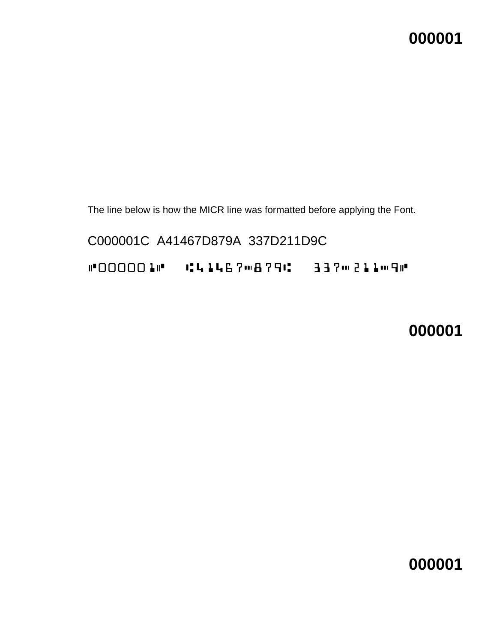The line below is how the MICR line was formatted before applying the Font.

C000001C A41467D879A 337D211D9C C000010 C41467m879C 337m211m90

**000001**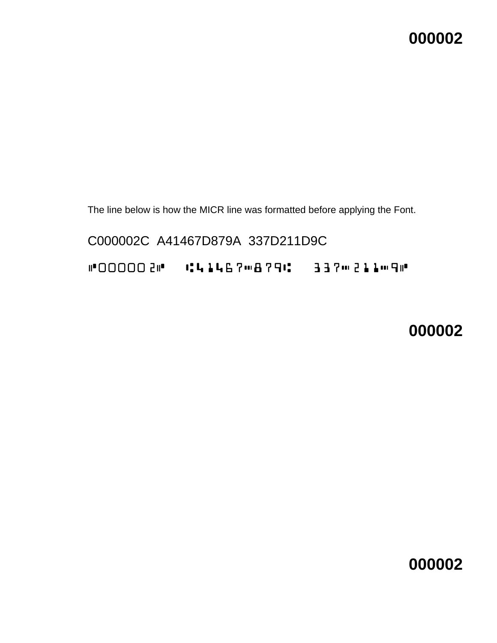The line below is how the MICR line was formatted before applying the Font.

C000002C A41467D879A 337D211D9C C000020 CLLLLC70879C 3370211090

**000002**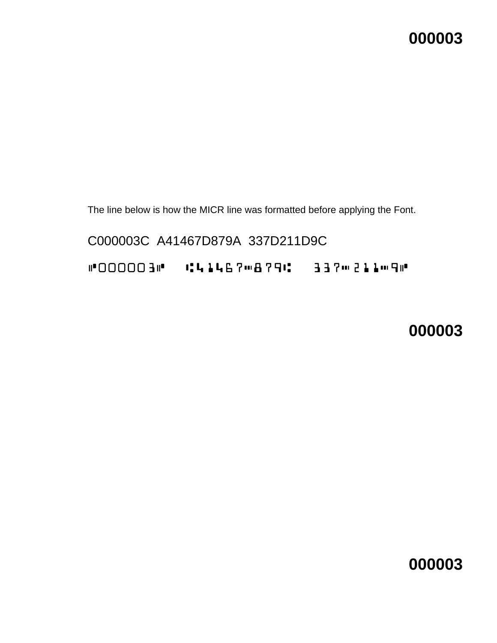The line below is how the MICR line was formatted before applying the Font.

C000003C A41467D879A 337D211D9C C000003C A41467D879A 337D211D9C

**000003**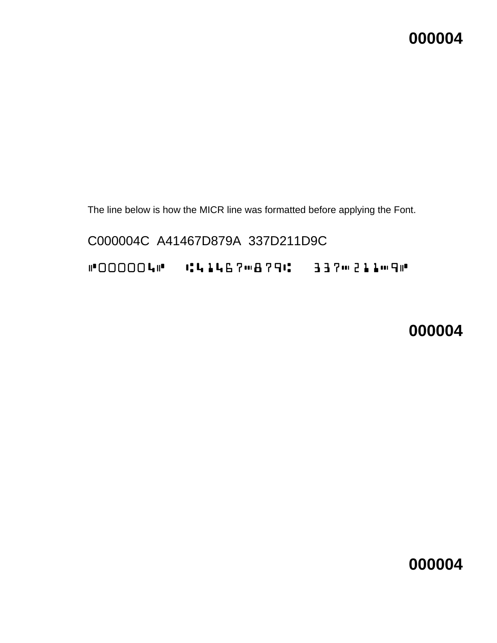The line below is how the MICR line was formatted before applying the Font.

C000004C A41467D879A 337D211D9C C000040 C41467m879C 337m211m90

**000004**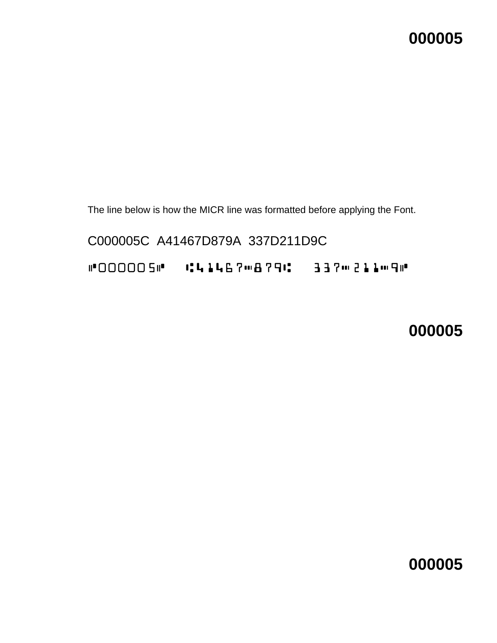The line below is how the MICR line was formatted before applying the Font.

C000005C A41467D879A 337D211D9C C0000050 C41467m879C 337m211m90

**000005**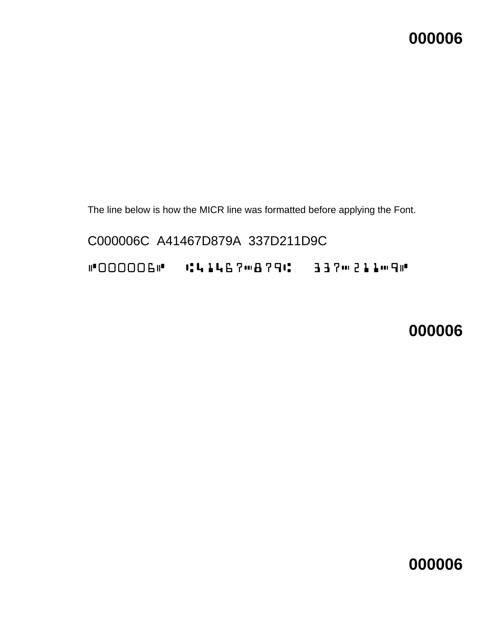The line below is how the MICR line was formatted before applying the Font.

C000006C A41467D879A 337D211D9C C0000060 C414670879C 337m211m90

**000006**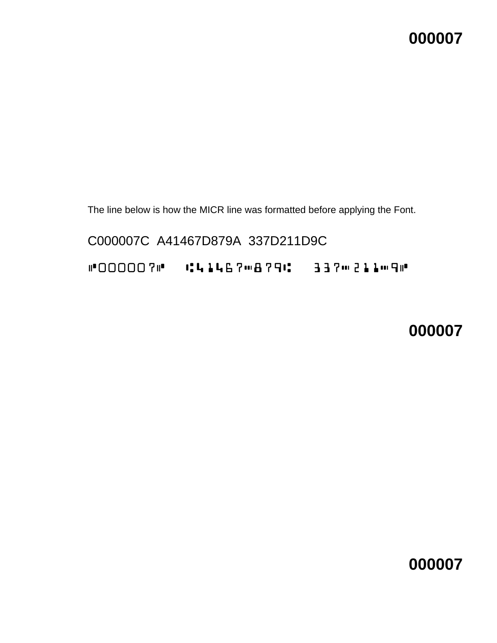The line below is how the MICR line was formatted before applying the Font.

C000007C A41467D879A 337D211D9C C0000070 C41467m879C 337m211m90

**000007**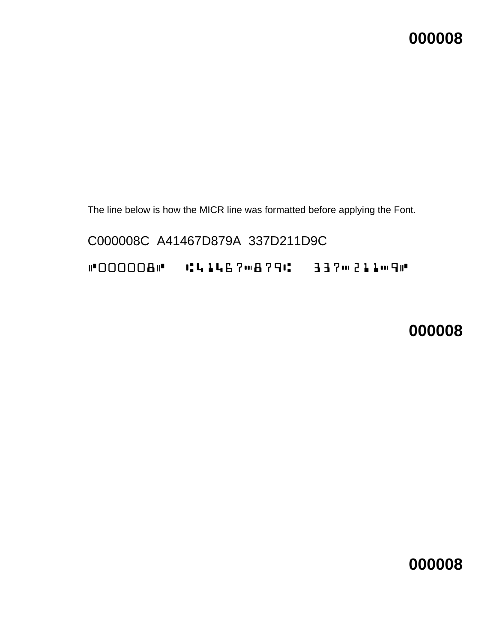The line below is how the MICR line was formatted before applying the Font.

C000008C A41467D879A 337D211D9C

C000080 C414670879C 337m211m90

**000008**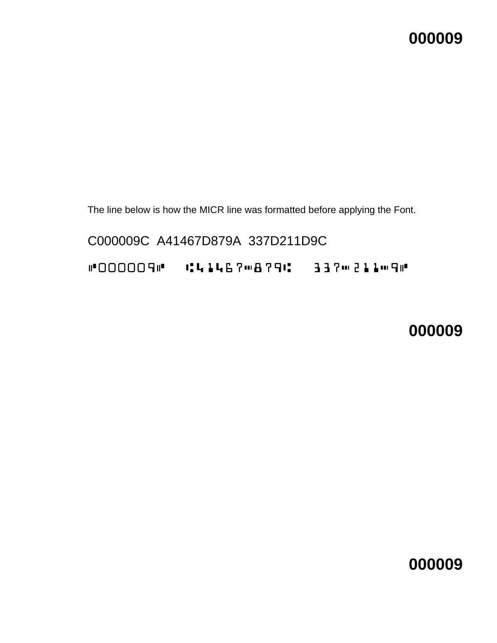The line below is how the MICR line was formatted before applying the Font.

C000009C A41467D879A 337D211D9C C000090 C414670879C 337m211m90

**000009**